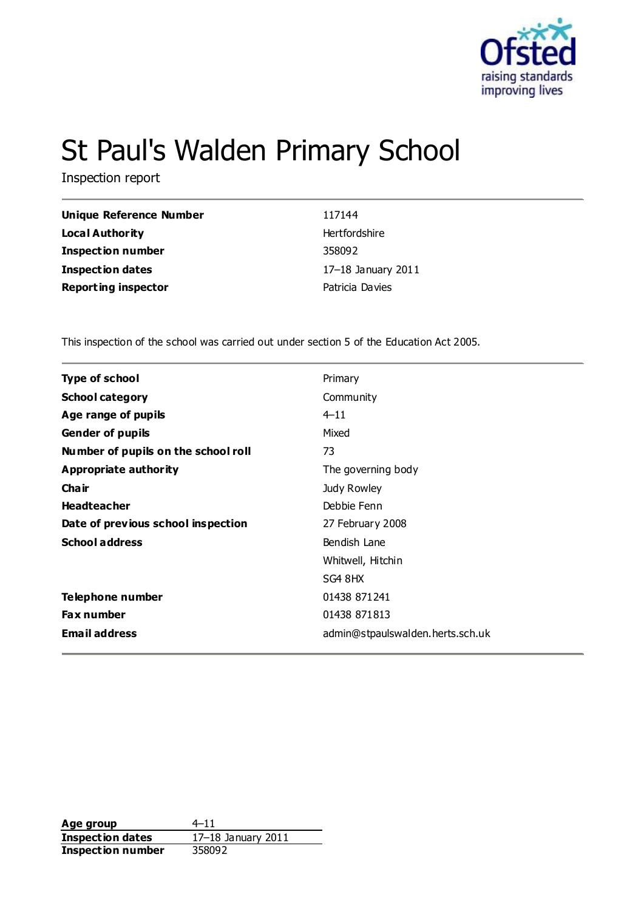

# St Paul's Walden Primary School

Inspection report

| Unique Reference Number    | 117144             |
|----------------------------|--------------------|
| Local Authority            | Hertfordshire      |
| <b>Inspection number</b>   | 358092             |
| <b>Inspection dates</b>    | 17-18 January 2011 |
| <b>Reporting inspector</b> | Patricia Davies    |

This inspection of the school was carried out under section 5 of the Education Act 2005.

| <b>Type of school</b>               | Primary                          |
|-------------------------------------|----------------------------------|
| <b>School category</b>              | Community                        |
| Age range of pupils                 | $4 - 11$                         |
| <b>Gender of pupils</b>             | Mixed                            |
| Number of pupils on the school roll | 73                               |
| Appropriate authority               | The governing body               |
| Cha ir                              | Judy Rowley                      |
| <b>Headteacher</b>                  | Debbie Fenn                      |
| Date of previous school inspection  | 27 February 2008                 |
| <b>School address</b>               | Bendish Lane                     |
|                                     | Whitwell, Hitchin                |
|                                     | SG4 8HX                          |
| Telephone number                    | 01438 871241                     |
| <b>Fax number</b>                   | 01438 871813                     |
| <b>Email address</b>                | admin@stpaulswalden.herts.sch.uk |
|                                     |                                  |

**Age group** 4–11 **Inspection dates** 17–18 January 2011 **Inspection number** 358092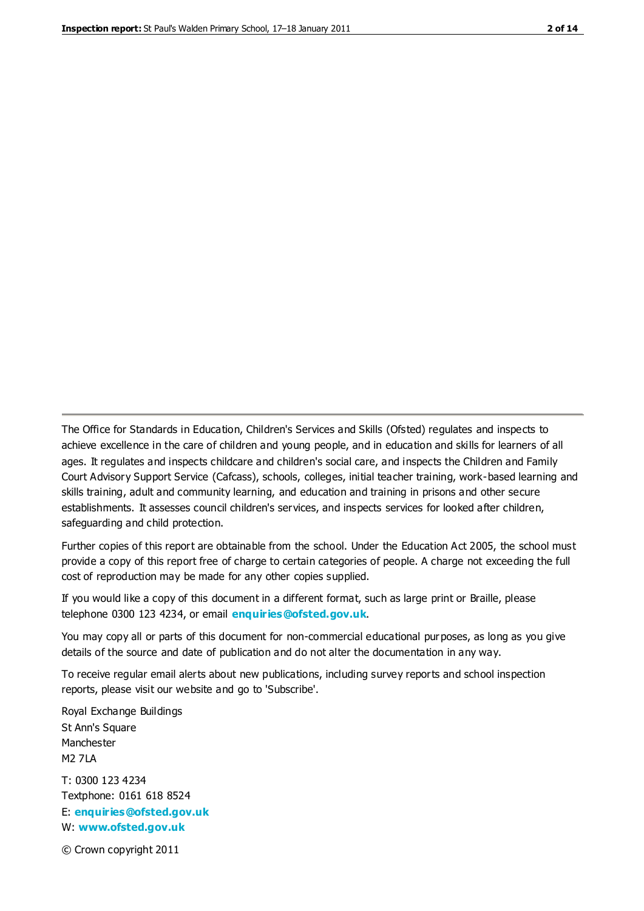The Office for Standards in Education, Children's Services and Skills (Ofsted) regulates and inspects to achieve excellence in the care of children and young people, and in education and skills for learners of all ages. It regulates and inspects childcare and children's social care, and inspects the Children and Family Court Advisory Support Service (Cafcass), schools, colleges, initial teacher training, work-based learning and skills training, adult and community learning, and education and training in prisons and other secure establishments. It assesses council children's services, and inspects services for looked after children, safeguarding and child protection.

Further copies of this report are obtainable from the school. Under the Education Act 2005, the school must provide a copy of this report free of charge to certain categories of people. A charge not exceeding the full cost of reproduction may be made for any other copies supplied.

If you would like a copy of this document in a different format, such as large print or Braille, please telephone 0300 123 4234, or email **[enquiries@ofsted.gov.uk](mailto:enquiries@ofsted.gov.uk)**.

You may copy all or parts of this document for non-commercial educational purposes, as long as you give details of the source and date of publication and do not alter the documentation in any way.

To receive regular email alerts about new publications, including survey reports and school inspection reports, please visit our website and go to 'Subscribe'.

Royal Exchange Buildings St Ann's Square Manchester M2 7LA T: 0300 123 4234 Textphone: 0161 618 8524 E: **[enquiries@ofsted.gov.uk](mailto:enquiries@ofsted.gov.uk)**

W: **[www.ofsted.gov.uk](http://www.ofsted.gov.uk/)**

© Crown copyright 2011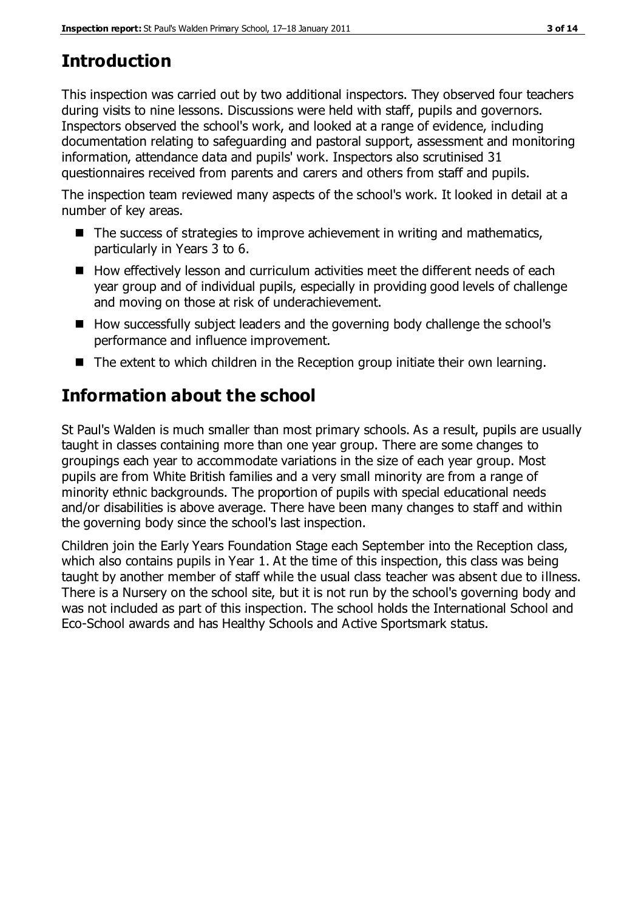# **Introduction**

This inspection was carried out by two additional inspectors. They observed four teachers during visits to nine lessons. Discussions were held with staff, pupils and governors. Inspectors observed the school's work, and looked at a range of evidence, including documentation relating to safeguarding and pastoral support, assessment and monitoring information, attendance data and pupils' work. Inspectors also scrutinised 31 questionnaires received from parents and carers and others from staff and pupils.

The inspection team reviewed many aspects of the school's work. It looked in detail at a number of key areas.

- The success of strategies to improve achievement in writing and mathematics, particularly in Years 3 to 6.
- $\blacksquare$  How effectively lesson and curriculum activities meet the different needs of each year group and of individual pupils, especially in providing good levels of challenge and moving on those at risk of underachievement.
- How successfully subject leaders and the governing body challenge the school's performance and influence improvement.
- The extent to which children in the Reception group initiate their own learning.

# **Information about the school**

St Paul's Walden is much smaller than most primary schools. As a result, pupils are usually taught in classes containing more than one year group. There are some changes to groupings each year to accommodate variations in the size of each year group. Most pupils are from White British families and a very small minority are from a range of minority ethnic backgrounds. The proportion of pupils with special educational needs and/or disabilities is above average. There have been many changes to staff and within the governing body since the school's last inspection.

Children join the Early Years Foundation Stage each September into the Reception class, which also contains pupils in Year 1. At the time of this inspection, this class was being taught by another member of staff while the usual class teacher was absent due to illness. There is a Nursery on the school site, but it is not run by the school's governing body and was not included as part of this inspection. The school holds the International School and Eco-School awards and has Healthy Schools and Active Sportsmark status.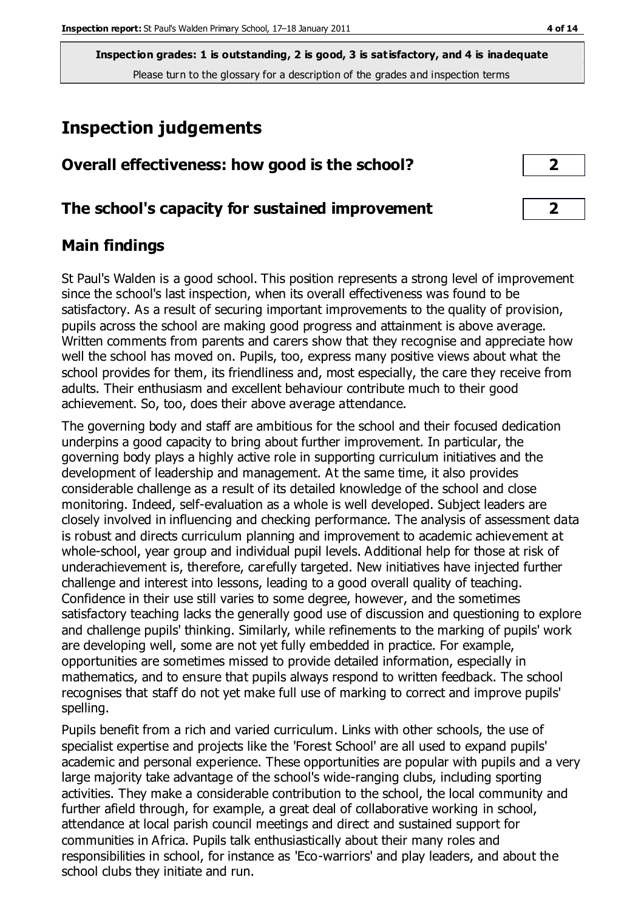**Inspection grades: 1 is outstanding, 2 is good, 3 is satisfactory, and 4 is inadequate** Please turn to the glossary for a description of the grades and inspection terms

# **Inspection judgements**

| Overall effectiveness: how good is the school? |  |
|------------------------------------------------|--|
|------------------------------------------------|--|

#### **The school's capacity for sustained improvement 2**

## **Main findings**

St Paul's Walden is a good school. This position represents a strong level of improvement since the school's last inspection, when its overall effectiveness was found to be satisfactory. As a result of securing important improvements to the quality of provision, pupils across the school are making good progress and attainment is above average. Written comments from parents and carers show that they recognise and appreciate how well the school has moved on. Pupils, too, express many positive views about what the school provides for them, its friendliness and, most especially, the care they receive from adults. Their enthusiasm and excellent behaviour contribute much to their good achievement. So, too, does their above average attendance.

The governing body and staff are ambitious for the school and their focused dedication underpins a good capacity to bring about further improvement. In particular, the governing body plays a highly active role in supporting curriculum initiatives and the development of leadership and management. At the same time, it also provides considerable challenge as a result of its detailed knowledge of the school and close monitoring. Indeed, self-evaluation as a whole is well developed. Subject leaders are closely involved in influencing and checking performance. The analysis of assessment data is robust and directs curriculum planning and improvement to academic achievement at whole-school, year group and individual pupil levels. Additional help for those at risk of underachievement is, therefore, carefully targeted. New initiatives have injected further challenge and interest into lessons, leading to a good overall quality of teaching. Confidence in their use still varies to some degree, however, and the sometimes satisfactory teaching lacks the generally good use of discussion and questioning to explore and challenge pupils' thinking. Similarly, while refinements to the marking of pupils' work are developing well, some are not yet fully embedded in practice. For example, opportunities are sometimes missed to provide detailed information, especially in mathematics, and to ensure that pupils always respond to written feedback. The school recognises that staff do not yet make full use of marking to correct and improve pupils' spelling.

Pupils benefit from a rich and varied curriculum. Links with other schools, the use of specialist expertise and projects like the 'Forest School' are all used to expand pupils' academic and personal experience. These opportunities are popular with pupils and a very large majority take advantage of the school's wide-ranging clubs, including sporting activities. They make a considerable contribution to the school, the local community and further afield through, for example, a great deal of collaborative working in school, attendance at local parish council meetings and direct and sustained support for communities in Africa. Pupils talk enthusiastically about their many roles and responsibilities in school, for instance as 'Eco-warriors' and play leaders, and about the school clubs they initiate and run.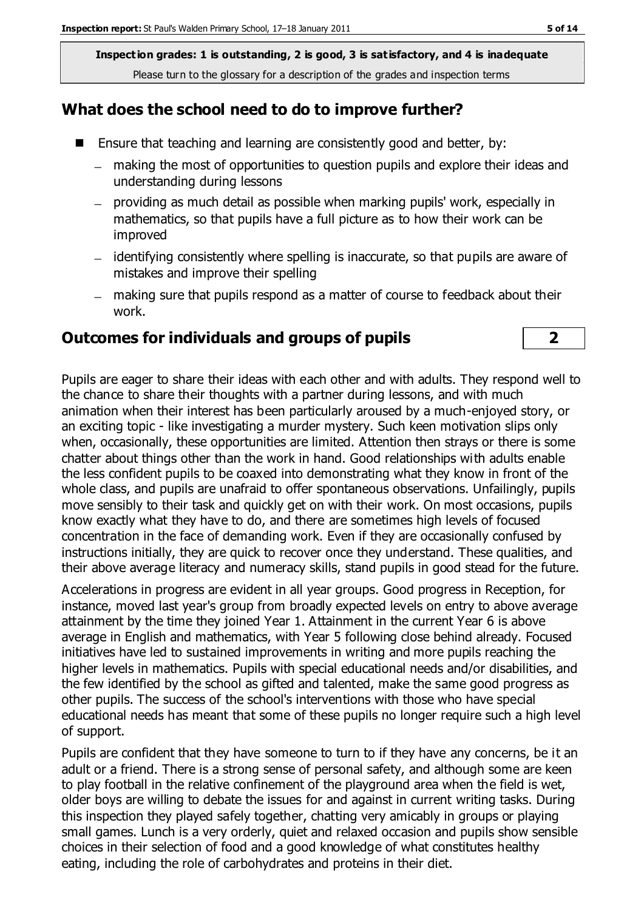**Inspection grades: 1 is outstanding, 2 is good, 3 is satisfactory, and 4 is inadequate** Please turn to the glossary for a description of the grades and inspection terms

#### **What does the school need to do to improve further?**

- Ensure that teaching and learning are consistently good and better, by:
	- making the most of opportunities to question pupils and explore their ideas and  $$ understanding during lessons
	- providing as much detail as possible when marking pupils' work, especially in mathematics, so that pupils have a full picture as to how their work can be improved
	- identifying consistently where spelling is inaccurate, so that pupils are aware of mistakes and improve their spelling
	- making sure that pupils respond as a matter of course to feedback about their work.

#### **Outcomes for individuals and groups of pupils 2**

Pupils are eager to share their ideas with each other and with adults. They respond well to the chance to share their thoughts with a partner during lessons, and with much animation when their interest has been particularly aroused by a much-enjoyed story, or an exciting topic - like investigating a murder mystery. Such keen motivation slips only when, occasionally, these opportunities are limited. Attention then strays or there is some chatter about things other than the work in hand. Good relationships with adults enable the less confident pupils to be coaxed into demonstrating what they know in front of the whole class, and pupils are unafraid to offer spontaneous observations. Unfailingly, pupils move sensibly to their task and quickly get on with their work. On most occasions, pupils know exactly what they have to do, and there are sometimes high levels of focused concentration in the face of demanding work. Even if they are occasionally confused by instructions initially, they are quick to recover once they understand. These qualities, and their above average literacy and numeracy skills, stand pupils in good stead for the future.

Accelerations in progress are evident in all year groups. Good progress in Reception, for instance, moved last year's group from broadly expected levels on entry to above average attainment by the time they joined Year 1. Attainment in the current Year 6 is above average in English and mathematics, with Year 5 following close behind already. Focused initiatives have led to sustained improvements in writing and more pupils reaching the higher levels in mathematics. Pupils with special educational needs and/or disabilities, and the few identified by the school as gifted and talented, make the same good progress as other pupils. The success of the school's interventions with those who have special educational needs has meant that some of these pupils no longer require such a high level of support.

Pupils are confident that they have someone to turn to if they have any concerns, be it an adult or a friend. There is a strong sense of personal safety, and although some are keen to play football in the relative confinement of the playground area when the field is wet, older boys are willing to debate the issues for and against in current writing tasks. During this inspection they played safely together, chatting very amicably in groups or playing small games. Lunch is a very orderly, quiet and relaxed occasion and pupils show sensible choices in their selection of food and a good knowledge of what constitutes healthy eating, including the role of carbohydrates and proteins in their diet.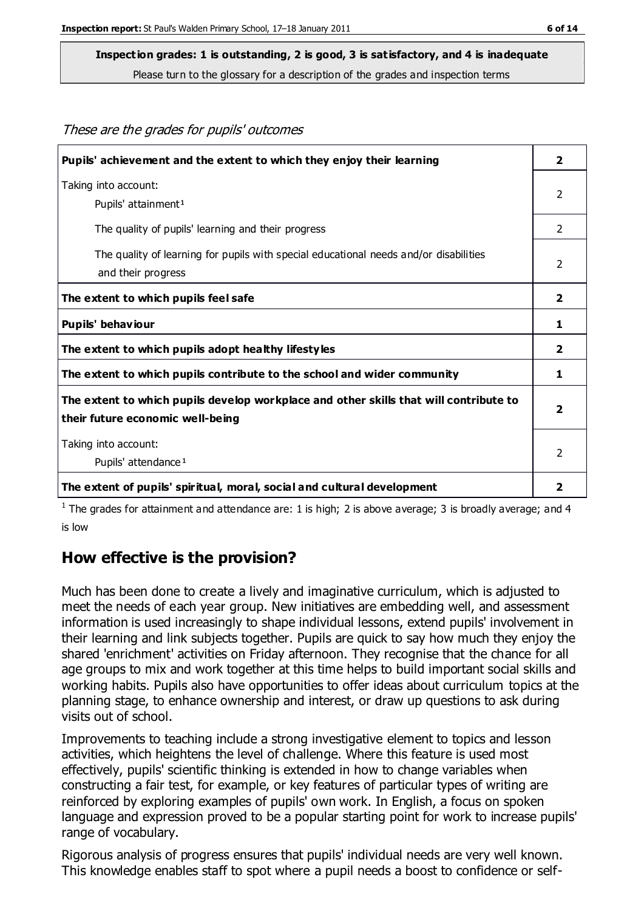These are the grades for pupils' outcomes

#### **Inspection grades: 1 is outstanding, 2 is good, 3 is satisfactory, and 4 is inadequate**

Please turn to the glossary for a description of the grades and inspection terms

| Pupils' achievement and the extent to which they enjoy their learning                                                     | $\overline{\mathbf{2}}$ |
|---------------------------------------------------------------------------------------------------------------------------|-------------------------|
| Taking into account:<br>Pupils' attainment <sup>1</sup>                                                                   | $\mathcal{P}$           |
| The quality of pupils' learning and their progress                                                                        | $\mathcal{P}$           |
| The quality of learning for pupils with special educational needs and/or disabilities<br>and their progress               | 2                       |
| The extent to which pupils feel safe                                                                                      | 2                       |
| Pupils' behaviour                                                                                                         | 1                       |
| The extent to which pupils adopt healthy lifestyles                                                                       | $\mathbf{2}$            |
| The extent to which pupils contribute to the school and wider community                                                   | 1                       |
| The extent to which pupils develop workplace and other skills that will contribute to<br>their future economic well-being | $\overline{2}$          |
| Taking into account:<br>Pupils' attendance <sup>1</sup>                                                                   | 2                       |
| The extent of pupils' spiritual, moral, social and cultural development                                                   | 2                       |

<sup>1</sup> The grades for attainment and attendance are: 1 is high; 2 is above average; 3 is broadly average; and 4 is low

#### **How effective is the provision?**

Much has been done to create a lively and imaginative curriculum, which is adjusted to meet the needs of each year group. New initiatives are embedding well, and assessment information is used increasingly to shape individual lessons, extend pupils' involvement in their learning and link subjects together. Pupils are quick to say how much they enjoy the shared 'enrichment' activities on Friday afternoon. They recognise that the chance for all age groups to mix and work together at this time helps to build important social skills and working habits. Pupils also have opportunities to offer ideas about curriculum topics at the planning stage, to enhance ownership and interest, or draw up questions to ask during visits out of school.

Improvements to teaching include a strong investigative element to topics and lesson activities, which heightens the level of challenge. Where this feature is used most effectively, pupils' scientific thinking is extended in how to change variables when constructing a fair test, for example, or key features of particular types of writing are reinforced by exploring examples of pupils' own work. In English, a focus on spoken language and expression proved to be a popular starting point for work to increase pupils' range of vocabulary.

Rigorous analysis of progress ensures that pupils' individual needs are very well known. This knowledge enables staff to spot where a pupil needs a boost to confidence or self-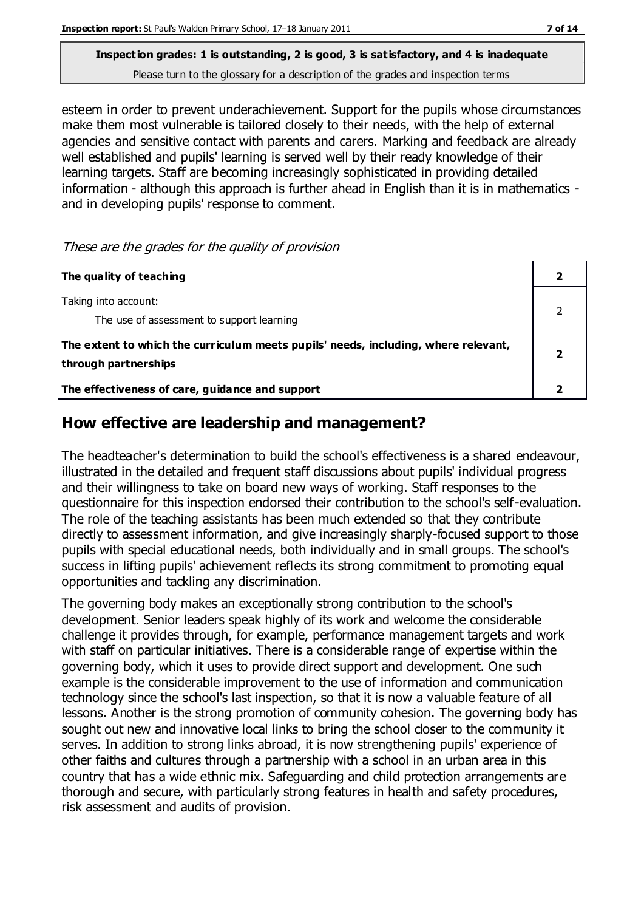#### **Inspection grades: 1 is outstanding, 2 is good, 3 is satisfactory, and 4 is inadequate** Please turn to the glossary for a description of the grades and inspection terms

esteem in order to prevent underachievement. Support for the pupils whose circumstances make them most vulnerable is tailored closely to their needs, with the help of external agencies and sensitive contact with parents and carers. Marking and feedback are already well established and pupils' learning is served well by their ready knowledge of their learning targets. Staff are becoming increasingly sophisticated in providing detailed information - although this approach is further ahead in English than it is in mathematics and in developing pupils' response to comment.

These are the grades for the quality of provision

| The quality of teaching                                                                                    |  |
|------------------------------------------------------------------------------------------------------------|--|
| Taking into account:<br>The use of assessment to support learning                                          |  |
| The extent to which the curriculum meets pupils' needs, including, where relevant,<br>through partnerships |  |
| The effectiveness of care, guidance and support                                                            |  |

## **How effective are leadership and management?**

The headteacher's determination to build the school's effectiveness is a shared endeavour, illustrated in the detailed and frequent staff discussions about pupils' individual progress and their willingness to take on board new ways of working. Staff responses to the questionnaire for this inspection endorsed their contribution to the school's self-evaluation. The role of the teaching assistants has been much extended so that they contribute directly to assessment information, and give increasingly sharply-focused support to those pupils with special educational needs, both individually and in small groups. The school's success in lifting pupils' achievement reflects its strong commitment to promoting equal opportunities and tackling any discrimination.

The governing body makes an exceptionally strong contribution to the school's development. Senior leaders speak highly of its work and welcome the considerable challenge it provides through, for example, performance management targets and work with staff on particular initiatives. There is a considerable range of expertise within the governing body, which it uses to provide direct support and development. One such example is the considerable improvement to the use of information and communication technology since the school's last inspection, so that it is now a valuable feature of all lessons. Another is the strong promotion of community cohesion. The governing body has sought out new and innovative local links to bring the school closer to the community it serves. In addition to strong links abroad, it is now strengthening pupils' experience of other faiths and cultures through a partnership with a school in an urban area in this country that has a wide ethnic mix. Safeguarding and child protection arrangements are thorough and secure, with particularly strong features in health and safety procedures, risk assessment and audits of provision.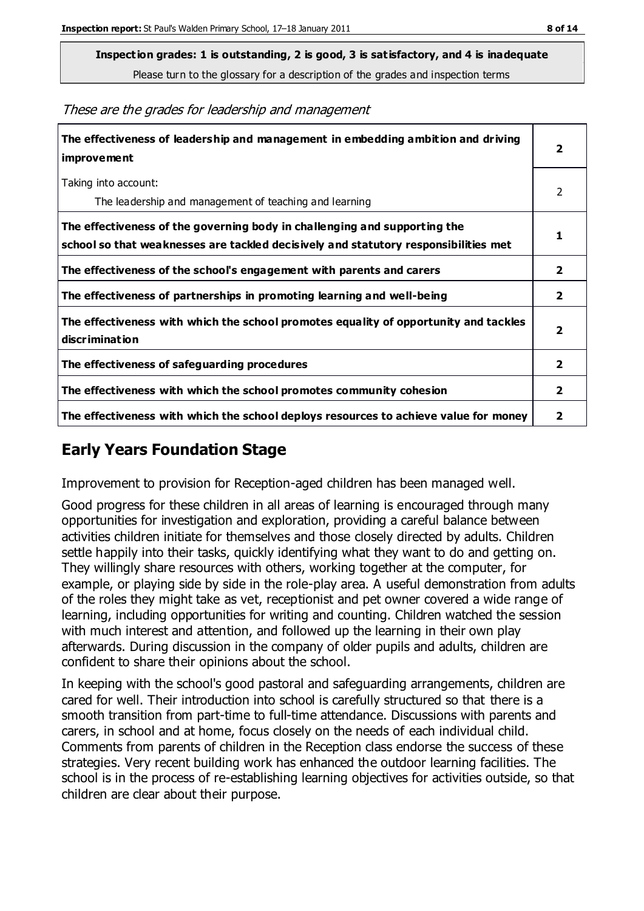**Inspection grades: 1 is outstanding, 2 is good, 3 is satisfactory, and 4 is inadequate**

Please turn to the glossary for a description of the grades and inspection terms

These are the grades for leadership and management

| The effectiveness of leadership and management in embedding ambition and driving<br>improvement                                                                  | $\overline{\mathbf{2}}$ |
|------------------------------------------------------------------------------------------------------------------------------------------------------------------|-------------------------|
| Taking into account:<br>The leadership and management of teaching and learning                                                                                   | 2                       |
| The effectiveness of the governing body in challenging and supporting the<br>school so that weaknesses are tackled decisively and statutory responsibilities met | 1                       |
| The effectiveness of the school's engagement with parents and carers                                                                                             | $\mathbf{2}$            |
| The effectiveness of partnerships in promoting learning and well-being                                                                                           | $\overline{2}$          |
| The effectiveness with which the school promotes equality of opportunity and tackles<br>discrimination                                                           | $\overline{\mathbf{2}}$ |
| The effectiveness of safeguarding procedures                                                                                                                     | $\overline{2}$          |
| The effectiveness with which the school promotes community cohesion                                                                                              | $\mathbf{2}$            |
| The effectiveness with which the school deploys resources to achieve value for money                                                                             | 2                       |

## **Early Years Foundation Stage**

Improvement to provision for Reception-aged children has been managed well.

Good progress for these children in all areas of learning is encouraged through many opportunities for investigation and exploration, providing a careful balance between activities children initiate for themselves and those closely directed by adults. Children settle happily into their tasks, quickly identifying what they want to do and getting on. They willingly share resources with others, working together at the computer, for example, or playing side by side in the role-play area. A useful demonstration from adults of the roles they might take as vet, receptionist and pet owner covered a wide range of learning, including opportunities for writing and counting. Children watched the session with much interest and attention, and followed up the learning in their own play afterwards. During discussion in the company of older pupils and adults, children are confident to share their opinions about the school.

In keeping with the school's good pastoral and safeguarding arrangements, children are cared for well. Their introduction into school is carefully structured so that there is a smooth transition from part-time to full-time attendance. Discussions with parents and carers, in school and at home, focus closely on the needs of each individual child. Comments from parents of children in the Reception class endorse the success of these strategies. Very recent building work has enhanced the outdoor learning facilities. The school is in the process of re-establishing learning objectives for activities outside, so that children are clear about their purpose.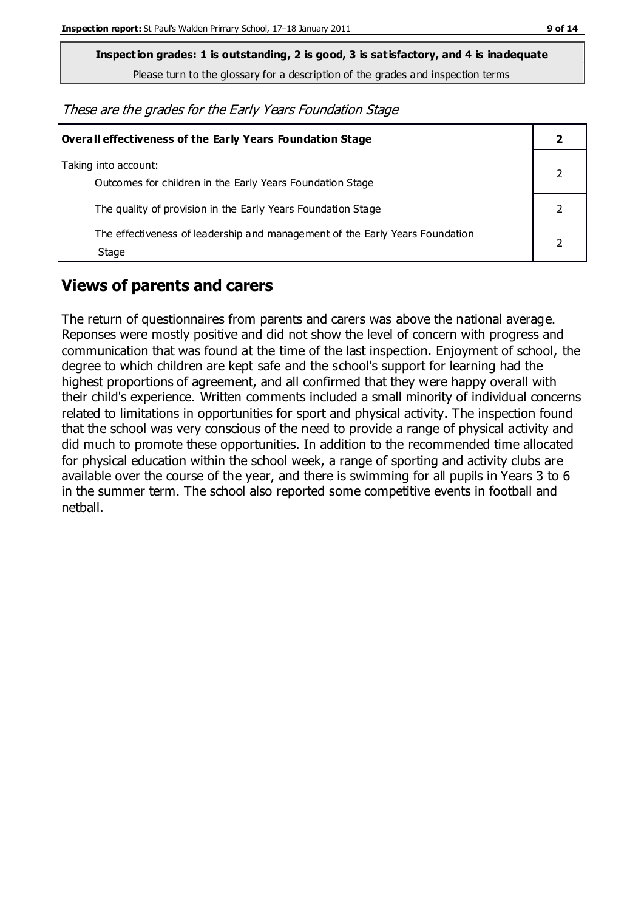**Inspection grades: 1 is outstanding, 2 is good, 3 is satisfactory, and 4 is inadequate**

Please turn to the glossary for a description of the grades and inspection terms

These are the grades for the Early Years Foundation Stage

| <b>Overall effectiveness of the Early Years Foundation Stage</b>                      |  |
|---------------------------------------------------------------------------------------|--|
| Taking into account:<br>Outcomes for children in the Early Years Foundation Stage     |  |
| The quality of provision in the Early Years Foundation Stage                          |  |
| The effectiveness of leadership and management of the Early Years Foundation<br>Stage |  |

## **Views of parents and carers**

The return of questionnaires from parents and carers was above the national average. Reponses were mostly positive and did not show the level of concern with progress and communication that was found at the time of the last inspection. Enjoyment of school, the degree to which children are kept safe and the school's support for learning had the highest proportions of agreement, and all confirmed that they were happy overall with their child's experience. Written comments included a small minority of individual concerns related to limitations in opportunities for sport and physical activity. The inspection found that the school was very conscious of the need to provide a range of physical activity and did much to promote these opportunities. In addition to the recommended time allocated for physical education within the school week, a range of sporting and activity clubs are available over the course of the year, and there is swimming for all pupils in Years 3 to 6 in the summer term. The school also reported some competitive events in football and netball.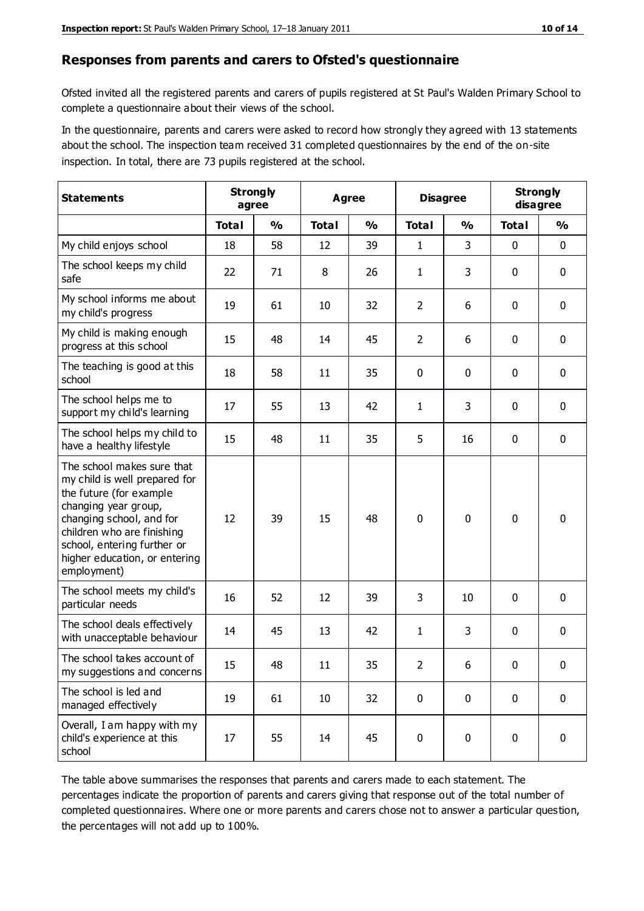#### **Responses from parents and carers to Ofsted's questionnaire**

Ofsted invited all the registered parents and carers of pupils registered at St Paul's Walden Primary School to complete a questionnaire about their views of the school.

In the questionnaire, parents and carers were asked to record how strongly they agreed with 13 statements about the school. The inspection team received 31 completed questionnaires by the end of the on-site inspection. In total, there are 73 pupils registered at the school.

| <b>Statements</b>                                                                                                                                                                                                                                       |              | <b>Strongly</b><br>Agree<br>agree |              | <b>Disagree</b> |                | <b>Strongly</b><br>disagree |              |               |
|---------------------------------------------------------------------------------------------------------------------------------------------------------------------------------------------------------------------------------------------------------|--------------|-----------------------------------|--------------|-----------------|----------------|-----------------------------|--------------|---------------|
|                                                                                                                                                                                                                                                         | <b>Total</b> | $\frac{0}{0}$                     | <b>Total</b> | $\frac{0}{0}$   | <b>Total</b>   | $\frac{0}{0}$               | <b>Total</b> | $\frac{0}{0}$ |
| My child enjoys school                                                                                                                                                                                                                                  | 18           | 58                                | 12           | 39              | 1              | 3                           | $\mathbf 0$  | $\mathbf 0$   |
| The school keeps my child<br>safe                                                                                                                                                                                                                       | 22           | 71                                | 8            | 26              | 1              | 3                           | $\mathbf 0$  | $\mathbf 0$   |
| My school informs me about<br>my child's progress                                                                                                                                                                                                       | 19           | 61                                | 10           | 32              | $\overline{2}$ | 6                           | $\mathbf 0$  | $\mathbf 0$   |
| My child is making enough<br>progress at this school                                                                                                                                                                                                    | 15           | 48                                | 14           | 45              | $\overline{2}$ | 6                           | 0            | $\mathbf 0$   |
| The teaching is good at this<br>school                                                                                                                                                                                                                  | 18           | 58                                | 11           | 35              | 0              | 0                           | $\mathbf 0$  | $\mathbf 0$   |
| The school helps me to<br>support my child's learning                                                                                                                                                                                                   | 17           | 55                                | 13           | 42              | 1              | 3                           | $\mathbf 0$  | $\mathbf 0$   |
| The school helps my child to<br>have a healthy lifestyle                                                                                                                                                                                                | 15           | 48                                | 11           | 35              | 5              | 16                          | $\mathbf 0$  | $\mathbf 0$   |
| The school makes sure that<br>my child is well prepared for<br>the future (for example<br>changing year group,<br>changing school, and for<br>children who are finishing<br>school, entering further or<br>higher education, or entering<br>employment) | 12           | 39                                | 15           | 48              | $\mathbf 0$    | 0                           | $\mathbf 0$  | $\mathbf 0$   |
| The school meets my child's<br>particular needs                                                                                                                                                                                                         | 16           | 52                                | 12           | 39              | 3              | 10                          | $\mathbf 0$  | $\mathbf 0$   |
| The school deals effectively<br>with unacceptable behaviour                                                                                                                                                                                             | 14           | 45                                | 13           | 42              | 1              | 3                           | $\mathbf 0$  | 0             |
| The school takes account of<br>my suggestions and concerns                                                                                                                                                                                              | 15           | 48                                | 11           | 35              | $\overline{2}$ | 6                           | 0            | 0             |
| The school is led and<br>managed effectively                                                                                                                                                                                                            | 19           | 61                                | 10           | 32              | $\pmb{0}$      | $\mathbf 0$                 | $\mathbf 0$  | $\mathbf 0$   |
| Overall, I am happy with my<br>child's experience at this<br>school                                                                                                                                                                                     | 17           | 55                                | 14           | 45              | $\pmb{0}$      | 0                           | $\mathbf 0$  | $\mathbf 0$   |

The table above summarises the responses that parents and carers made to each statement. The percentages indicate the proportion of parents and carers giving that response out of the total number of completed questionnaires. Where one or more parents and carers chose not to answer a particular question, the percentages will not add up to 100%.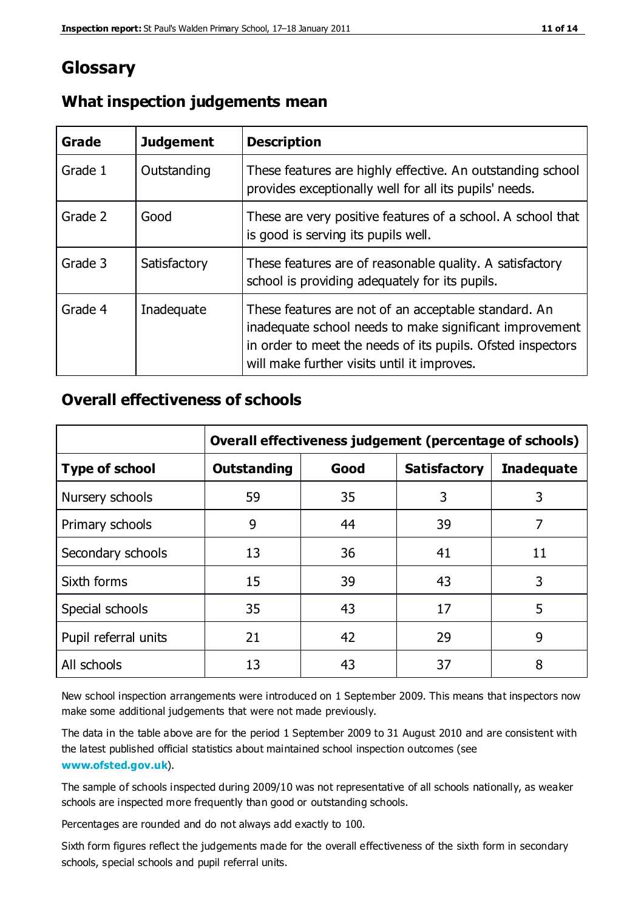## **Glossary**

| Grade   | <b>Judgement</b> | <b>Description</b>                                                                                                                                                                                                            |
|---------|------------------|-------------------------------------------------------------------------------------------------------------------------------------------------------------------------------------------------------------------------------|
| Grade 1 | Outstanding      | These features are highly effective. An outstanding school<br>provides exceptionally well for all its pupils' needs.                                                                                                          |
| Grade 2 | Good             | These are very positive features of a school. A school that<br>is good is serving its pupils well.                                                                                                                            |
| Grade 3 | Satisfactory     | These features are of reasonable quality. A satisfactory<br>school is providing adequately for its pupils.                                                                                                                    |
| Grade 4 | Inadequate       | These features are not of an acceptable standard. An<br>inadequate school needs to make significant improvement<br>in order to meet the needs of its pupils. Ofsted inspectors<br>will make further visits until it improves. |

#### **What inspection judgements mean**

#### **Overall effectiveness of schools**

|                       | Overall effectiveness judgement (percentage of schools) |      |                     |                   |
|-----------------------|---------------------------------------------------------|------|---------------------|-------------------|
| <b>Type of school</b> | <b>Outstanding</b>                                      | Good | <b>Satisfactory</b> | <b>Inadequate</b> |
| Nursery schools       | 59                                                      | 35   | 3                   | 3                 |
| Primary schools       | 9                                                       | 44   | 39                  | 7                 |
| Secondary schools     | 13                                                      | 36   | 41                  | 11                |
| Sixth forms           | 15                                                      | 39   | 43                  | 3                 |
| Special schools       | 35                                                      | 43   | 17                  | 5                 |
| Pupil referral units  | 21                                                      | 42   | 29                  | 9                 |
| All schools           | 13                                                      | 43   | 37                  | 8                 |

New school inspection arrangements were introduced on 1 September 2009. This means that inspectors now make some additional judgements that were not made previously.

The data in the table above are for the period 1 September 2009 to 31 August 2010 and are consistent with the latest published official statistics about maintained school inspection outcomes (see **[www.ofsted.gov.uk](http://www.ofsted.gov.uk/)**).

The sample of schools inspected during 2009/10 was not representative of all schools nationally, as weaker schools are inspected more frequently than good or outstanding schools.

Percentages are rounded and do not always add exactly to 100.

Sixth form figures reflect the judgements made for the overall effectiveness of the sixth form in secondary schools, special schools and pupil referral units.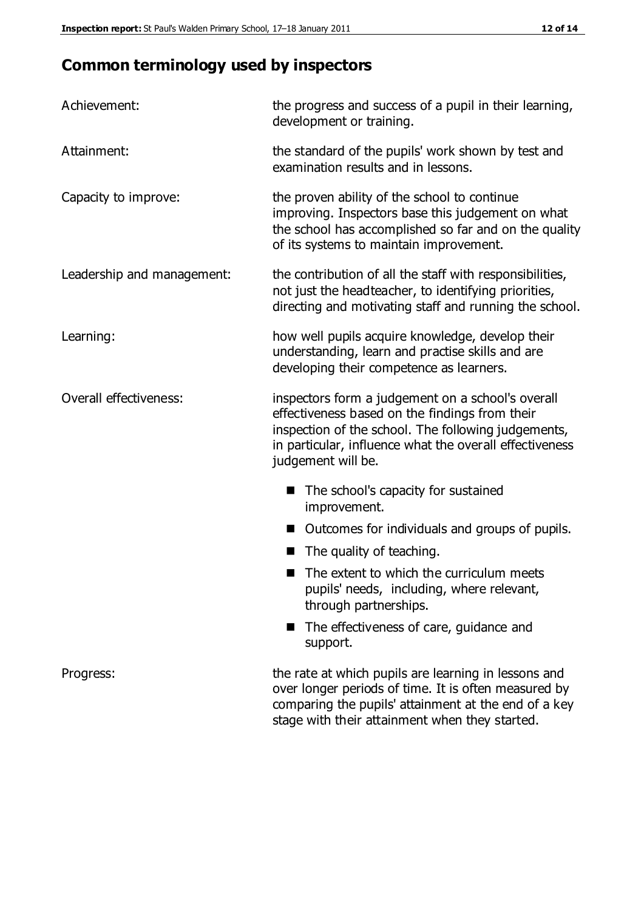# **Common terminology used by inspectors**

| Achievement:                  | the progress and success of a pupil in their learning,<br>development or training.                                                                                                                                                          |  |  |
|-------------------------------|---------------------------------------------------------------------------------------------------------------------------------------------------------------------------------------------------------------------------------------------|--|--|
| Attainment:                   | the standard of the pupils' work shown by test and<br>examination results and in lessons.                                                                                                                                                   |  |  |
| Capacity to improve:          | the proven ability of the school to continue<br>improving. Inspectors base this judgement on what<br>the school has accomplished so far and on the quality<br>of its systems to maintain improvement.                                       |  |  |
| Leadership and management:    | the contribution of all the staff with responsibilities,<br>not just the headteacher, to identifying priorities,<br>directing and motivating staff and running the school.                                                                  |  |  |
| Learning:                     | how well pupils acquire knowledge, develop their<br>understanding, learn and practise skills and are<br>developing their competence as learners.                                                                                            |  |  |
| <b>Overall effectiveness:</b> | inspectors form a judgement on a school's overall<br>effectiveness based on the findings from their<br>inspection of the school. The following judgements,<br>in particular, influence what the overall effectiveness<br>judgement will be. |  |  |
|                               | The school's capacity for sustained<br>improvement.                                                                                                                                                                                         |  |  |
|                               | Outcomes for individuals and groups of pupils.                                                                                                                                                                                              |  |  |
|                               | The quality of teaching.                                                                                                                                                                                                                    |  |  |
|                               | The extent to which the curriculum meets<br>pupils' needs, including, where relevant,<br>through partnerships.                                                                                                                              |  |  |
|                               | The effectiveness of care, guidance and<br>support.                                                                                                                                                                                         |  |  |
| Progress:                     | the rate at which pupils are learning in lessons and<br>over longer periods of time. It is often measured by<br>comparing the pupils' attainment at the end of a key                                                                        |  |  |

stage with their attainment when they started.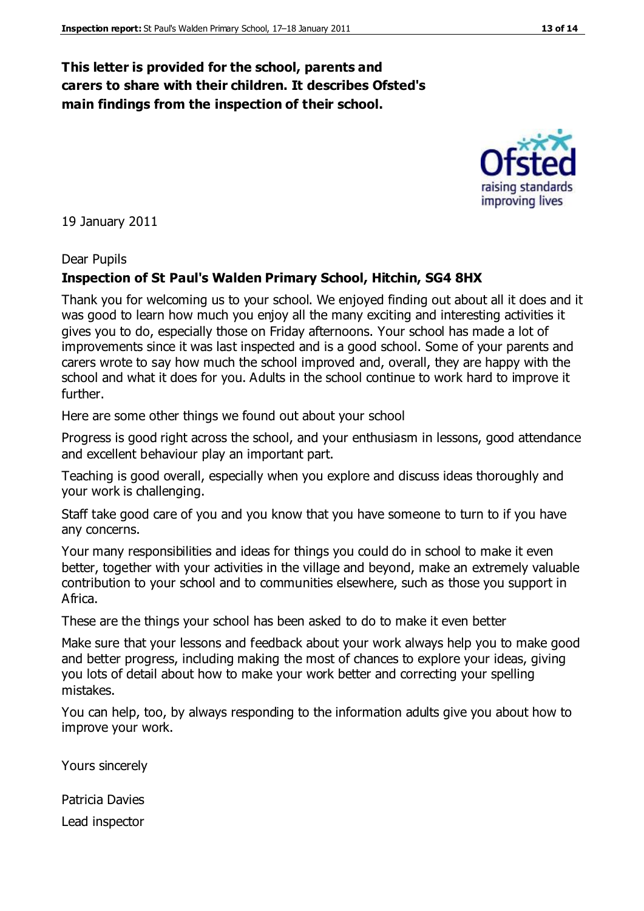#### **This letter is provided for the school, parents and carers to share with their children. It describes Ofsted's main findings from the inspection of their school.**

19 January 2011

#### Dear Pupils

#### **Inspection of St Paul's Walden Primary School, Hitchin, SG4 8HX**

Thank you for welcoming us to your school. We enjoyed finding out about all it does and it was good to learn how much you enjoy all the many exciting and interesting activities it gives you to do, especially those on Friday afternoons. Your school has made a lot of improvements since it was last inspected and is a good school. Some of your parents and carers wrote to say how much the school improved and, overall, they are happy with the school and what it does for you. Adults in the school continue to work hard to improve it further.

Here are some other things we found out about your school

Progress is good right across the school, and your enthusiasm in lessons, good attendance and excellent behaviour play an important part.

Teaching is good overall, especially when you explore and discuss ideas thoroughly and your work is challenging.

Staff take good care of you and you know that you have someone to turn to if you have any concerns.

Your many responsibilities and ideas for things you could do in school to make it even better, together with your activities in the village and beyond, make an extremely valuable contribution to your school and to communities elsewhere, such as those you support in Africa.

These are the things your school has been asked to do to make it even better

Make sure that your lessons and feedback about your work always help you to make good and better progress, including making the most of chances to explore your ideas, giving you lots of detail about how to make your work better and correcting your spelling mistakes.

You can help, too, by always responding to the information adults give you about how to improve your work.

Yours sincerely

Patricia Davies

Lead inspector